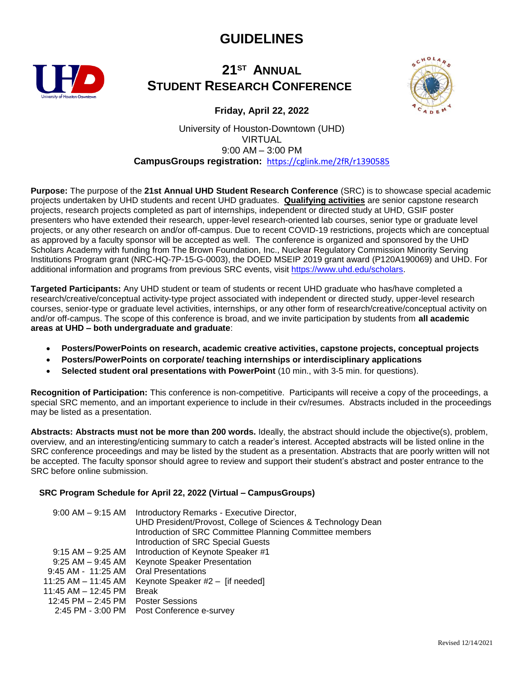## **GUIDELINES**



## **21 ST ANNUAL STUDENT RESEARCH CONFERENCE**



**Friday, April 22, 2022**

University of Houston-Downtown (UHD) VIRTUAL 9:00 AM – 3:00 PM **CampusGroups registration:** <https://cglink.me/2fR/r1390585>

**Purpose:** The purpose of the **21st Annual UHD Student Research Conference** (SRC) is to showcase special academic projects undertaken by UHD students and recent UHD graduates. **Qualifying activities** are senior capstone research projects, research projects completed as part of internships, independent or directed study at UHD, GSIF poster presenters who have extended their research, upper-level research-oriented lab courses, senior type or graduate level projects, or any other research on and/or off-campus. Due to recent COVID-19 restrictions, projects which are conceptual as approved by a faculty sponsor will be accepted as well. The conference is organized and sponsored by the UHD Scholars Academy with funding from The Brown Foundation, Inc., Nuclear Regulatory Commission Minority Serving Institutions Program grant (NRC-HQ-7P-15-G-0003), the DOED MSEIP 2019 grant award (P120A190069) and UHD. For additional information and programs from previous SRC events, visit [https://www.uhd.edu/scholars.](https://www.uhd.edu/scholars)

**Targeted Participants:** Any UHD student or team of students or recent UHD graduate who has/have completed a research/creative/conceptual activity-type project associated with independent or directed study, upper-level research courses, senior-type or graduate level activities, internships, or any other form of research/creative/conceptual activity on and/or off-campus. The scope of this conference is broad, and we invite participation by students from **all academic areas at UHD – both undergraduate and graduate**:

- **Posters/PowerPoints on research, academic creative activities, capstone projects, conceptual projects**
- **Posters/PowerPoints on corporate/ teaching internships or interdisciplinary applications**
- **Selected student oral presentations with PowerPoint** (10 min., with 3-5 min. for questions).

**Recognition of Participation:** This conference is non-competitive. Participants will receive a copy of the proceedings, a special SRC memento, and an important experience to include in their cv/resumes. Abstracts included in the proceedings may be listed as a presentation.

**Abstracts: Abstracts must not be more than 200 words.** Ideally, the abstract should include the objective(s), problem, overview, and an interesting/enticing summary to catch a reader's interest. Accepted abstracts will be listed online in the SRC conference proceedings and may be listed by the student as a presentation. Abstracts that are poorly written will not be accepted. The faculty sponsor should agree to review and support their student's abstract and poster entrance to the SRC before online submission.

### **SRC Program Schedule for April 22, 2022 (Virtual – CampusGroups)**

| $9:00$ AM $ 9:15$ AM    | Introductory Remarks - Executive Director,<br>UHD President/Provost, College of Sciences & Technology Dean<br>Introduction of SRC Committee Planning Committee members<br><b>Introduction of SRC Special Guests</b> |
|-------------------------|---------------------------------------------------------------------------------------------------------------------------------------------------------------------------------------------------------------------|
| $9:15$ AM $-9:25$ AM    | Introduction of Keynote Speaker #1                                                                                                                                                                                  |
| $9:25$ AM $-9:45$ AM    | Keynote Speaker Presentation                                                                                                                                                                                        |
| 9:45 AM - 11:25 AM      | <b>Oral Presentations</b>                                                                                                                                                                                           |
| $11:25$ AM $- 11:45$ AM | Keynote Speaker #2 - [if needed]                                                                                                                                                                                    |
| 11:45 AM – 12:45 PM     | <b>Break</b>                                                                                                                                                                                                        |
| 12:45 PM – 2:45 PM      | <b>Poster Sessions</b>                                                                                                                                                                                              |
| 2:45 PM - 3:00 PM       | Post Conference e-survey                                                                                                                                                                                            |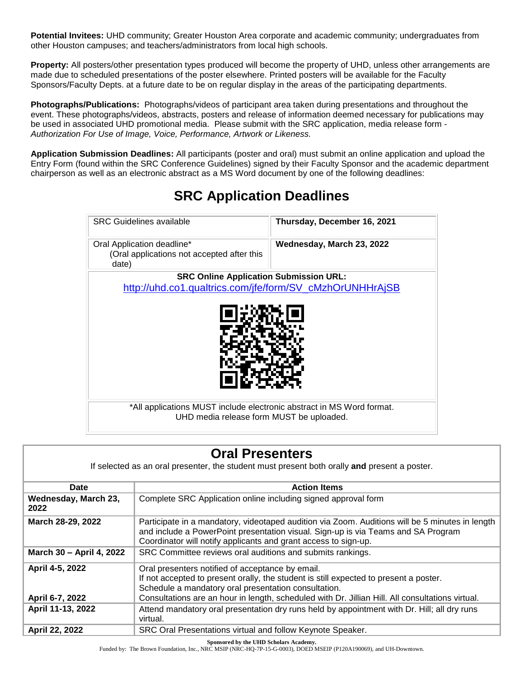**Potential Invitees:** UHD community; Greater Houston Area corporate and academic community; undergraduates from other Houston campuses; and teachers/administrators from local high schools.

**Property:** All posters/other presentation types produced will become the property of UHD, unless other arrangements are made due to scheduled presentations of the poster elsewhere. Printed posters will be available for the Faculty Sponsors/Faculty Depts. at a future date to be on regular display in the areas of the participating departments.

**Photographs/Publications:** Photographs/videos of participant area taken during presentations and throughout the event. These photographs/videos, abstracts, posters and release of information deemed necessary for publications may be used in associated UHD promotional media. Please submit with the SRC application, media release form - *Authorization For Use of Image, Voice, Performance, Artwork or Likeness.*

**Application Submission Deadlines:** All participants (poster and oral) must submit an online application and upload the Entry Form (found within the SRC Conference Guidelines) signed by their Faculty Sponsor and the academic department chairperson as well as an electronic abstract as a MS Word document by one of the following deadlines:

| <b>SRC Guidelines available</b>                                                   | Thursday, December 16, 2021 |  |
|-----------------------------------------------------------------------------------|-----------------------------|--|
| Oral Application deadline*<br>(Oral applications not accepted after this<br>date) | Wednesday, March 23, 2022   |  |
| <b>SRC Online Application Submission URL:</b>                                     |                             |  |
| http://uhd.co1.qualtrics.com/jfe/form/SV_cMzhOrUNHHrAjSB                          |                             |  |
| *All applications MUST include electronic abstract in MS Word format.             |                             |  |
| UHD media release form MUST be uploaded.                                          |                             |  |

# **SRC Application Deadlines**

| <b>Oral Presenters</b>                                                                       |                                                                                                                                                                                                                                                                                                       |  |
|----------------------------------------------------------------------------------------------|-------------------------------------------------------------------------------------------------------------------------------------------------------------------------------------------------------------------------------------------------------------------------------------------------------|--|
| If selected as an oral presenter, the student must present both orally and present a poster. |                                                                                                                                                                                                                                                                                                       |  |
| Date                                                                                         | <b>Action Items</b>                                                                                                                                                                                                                                                                                   |  |
| Wednesday, March 23,<br>2022                                                                 | Complete SRC Application online including signed approval form                                                                                                                                                                                                                                        |  |
| March 28-29, 2022                                                                            | Participate in a mandatory, videotaped audition via Zoom. Auditions will be 5 minutes in length<br>and include a PowerPoint presentation visual. Sign-up is via Teams and SA Program<br>Coordinator will notify applicants and grant access to sign-up.                                               |  |
| March 30 - April 4, 2022                                                                     | SRC Committee reviews oral auditions and submits rankings.                                                                                                                                                                                                                                            |  |
| April 4-5, 2022<br>April 6-7, 2022                                                           | Oral presenters notified of acceptance by email.<br>If not accepted to present orally, the student is still expected to present a poster.<br>Schedule a mandatory oral presentation consultation.<br>Consultations are an hour in length, scheduled with Dr. Jillian Hill. All consultations virtual. |  |
| April 11-13, 2022                                                                            | Attend mandatory oral presentation dry runs held by appointment with Dr. Hill; all dry runs<br>virtual.                                                                                                                                                                                               |  |
| April 22, 2022                                                                               | SRC Oral Presentations virtual and follow Keynote Speaker.                                                                                                                                                                                                                                            |  |

**Sponsored by the UHD Scholars Academy.**<br>Funded by: The Brown Foundation, Inc., NRC MSIP (NRC-HQ-7P-15-G-0003), DOED MSEIP (P120A190069), and UH-Downtown.